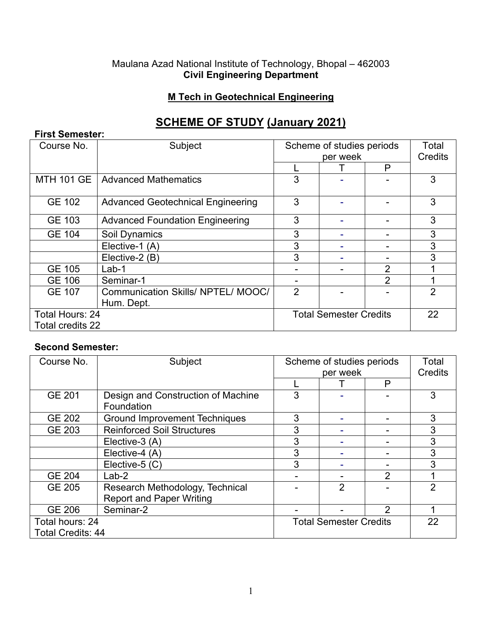#### Maulana Azad National Institute of Technology, Bhopal – 462003 **Civil Engineering Department**

### **M Tech in Geotechnical Engineering**

# **SCHEME OF STUDY (January 2021)**

| <b>First Semester:</b> |                                          |                               |  |                |                |  |
|------------------------|------------------------------------------|-------------------------------|--|----------------|----------------|--|
| Course No.             | Subject                                  | Scheme of studies periods     |  |                | Total          |  |
|                        |                                          | per week                      |  | Credits        |                |  |
|                        |                                          |                               |  | P              |                |  |
| <b>MTH 101 GE</b>      | <b>Advanced Mathematics</b>              | 3                             |  |                | 3              |  |
| <b>GE 102</b>          | <b>Advanced Geotechnical Engineering</b> | 3                             |  |                | 3              |  |
| GE 103                 | <b>Advanced Foundation Engineering</b>   | 3                             |  |                | 3              |  |
| <b>GE 104</b>          | Soil Dynamics                            | 3                             |  |                | 3              |  |
|                        | Elective-1 (A)                           | 3                             |  |                | 3              |  |
|                        | Elective-2 (B)                           | 3                             |  |                | 3              |  |
| <b>GE 105</b>          | $Lab-1$                                  |                               |  | 2              |                |  |
| <b>GE 106</b>          | Seminar-1                                |                               |  | $\overline{2}$ |                |  |
| <b>GE 107</b>          | Communication Skills/ NPTEL/ MOOC/       | $\overline{2}$                |  |                | $\overline{2}$ |  |
|                        | Hum. Dept.                               |                               |  |                |                |  |
| <b>Total Hours: 24</b> |                                          | <b>Total Semester Credits</b> |  |                | 22             |  |
| Total credits 22       |                                          |                               |  |                |                |  |

#### **Second Semester:**

| Course No.               | Subject                              | Scheme of studies periods     |   |               | Total          |
|--------------------------|--------------------------------------|-------------------------------|---|---------------|----------------|
|                          |                                      | per week                      |   | Credits       |                |
|                          |                                      |                               |   | P             |                |
| GE 201                   | Design and Construction of Machine   | 3                             |   |               | 3              |
|                          | Foundation                           |                               |   |               |                |
| <b>GE 202</b>            | <b>Ground Improvement Techniques</b> | 3                             |   |               | 3              |
| <b>GE 203</b>            | <b>Reinforced Soil Structures</b>    | 3                             |   |               | 3              |
|                          | Elective-3 (A)                       | 3                             |   |               | 3              |
|                          | Elective-4 (A)                       | 3                             |   |               | 3              |
|                          | Elective-5 (C)                       | 3                             |   |               | 3              |
| <b>GE 204</b>            | $Lab-2$                              |                               |   | 2             |                |
| <b>GE 205</b>            | Research Methodology, Technical      |                               | 2 |               | $\mathfrak{p}$ |
|                          | <b>Report and Paper Writing</b>      |                               |   |               |                |
| <b>GE 206</b>            | Seminar-2                            |                               |   | $\mathcal{P}$ |                |
| Total hours: 24          |                                      | <b>Total Semester Credits</b> |   |               | 22             |
| <b>Total Credits: 44</b> |                                      |                               |   |               |                |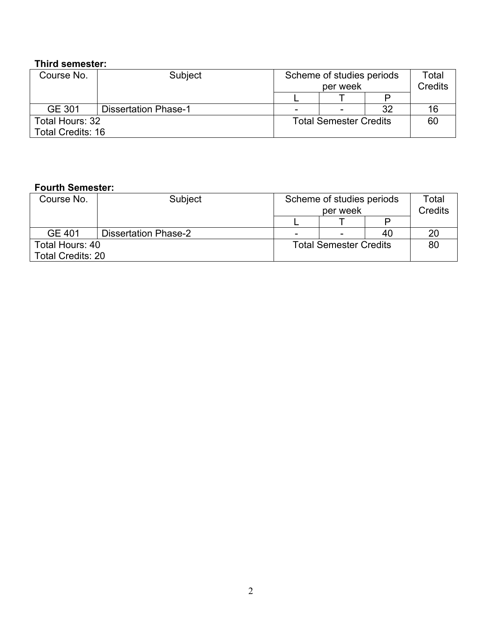# **Third semester:**

| Course No.               | Subject                     |                               | Scheme of studies periods<br>per week |    | Total<br><b>Credits</b> |
|--------------------------|-----------------------------|-------------------------------|---------------------------------------|----|-------------------------|
|                          |                             |                               |                                       |    |                         |
| GE 301                   | <b>Dissertation Phase-1</b> | $\overline{\phantom{0}}$      | $\overline{\phantom{0}}$              | 32 | 16                      |
| Total Hours: 32          |                             | <b>Total Semester Credits</b> |                                       |    | 60                      |
| <b>Total Credits: 16</b> |                             |                               |                                       |    |                         |

## **Fourth Semester:**

| Course No.               | Subject                     | Scheme of studies periods<br>per week |                          |    | Total<br><b>Credits</b> |
|--------------------------|-----------------------------|---------------------------------------|--------------------------|----|-------------------------|
|                          |                             |                                       |                          |    |                         |
| GE 401                   | <b>Dissertation Phase-2</b> | $\overline{\phantom{a}}$              | $\overline{\phantom{0}}$ | 40 | 20                      |
| Total Hours: 40          |                             | <b>Total Semester Credits</b>         |                          |    | 80                      |
| <b>Total Credits: 20</b> |                             |                                       |                          |    |                         |